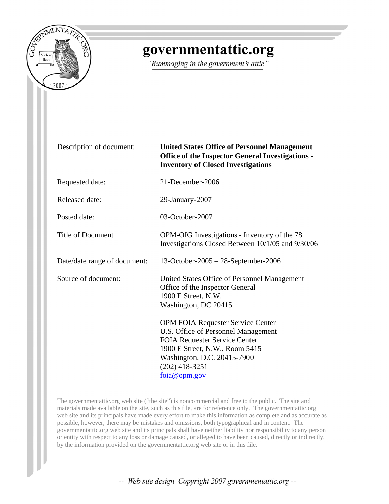

## governmentattic.org

"Rummaging in the government's attic"

| Description of document:     | <b>United States Office of Personnel Management</b><br><b>Office of the Inspector General Investigations -</b><br><b>Inventory of Closed Investigations</b>                                                           |
|------------------------------|-----------------------------------------------------------------------------------------------------------------------------------------------------------------------------------------------------------------------|
| Requested date:              | 21-December-2006                                                                                                                                                                                                      |
| Released date:               | 29-January-2007                                                                                                                                                                                                       |
| Posted date:                 | 03-October-2007                                                                                                                                                                                                       |
| <b>Title of Document</b>     | OPM-OIG Investigations - Inventory of the 78<br>Investigations Closed Between 10/1/05 and 9/30/06                                                                                                                     |
| Date/date range of document: | 13-October-2005 - 28-September-2006                                                                                                                                                                                   |
| Source of document:          | United States Office of Personnel Management<br>Office of the Inspector General<br>1900 E Street, N.W.<br>Washington, DC 20415                                                                                        |
|                              | <b>OPM FOIA Requester Service Center</b><br>U.S. Office of Personnel Management<br>FOIA Requester Service Center<br>1900 E Street, N.W., Room 5415<br>Washington, D.C. 20415-7900<br>$(202)$ 418-3251<br>foia@opm.gov |

The governmentattic.org web site ("the site") is noncommercial and free to the public. The site and materials made available on the site, such as this file, are for reference only. The governmentattic.org web site and its principals have made every effort to make this information as complete and as accurate as possible, however, there may be mistakes and omissions, both typographical and in content. The governmentattic.org web site and its principals shall have neither liability nor responsibility to any person or entity with respect to any loss or damage caused, or alleged to have been caused, directly or indirectly, by the information provided on the governmentattic.org web site or in this file.

-- Web site design Copyright 2007 governmentattic.org --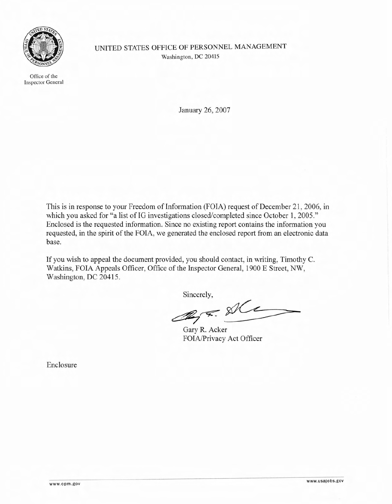

Office of the Inspector General UNITED STATES OFFICE OF PERSONNEL MANAGEMENT Washington, DC 20415

January 26, 2007

This is in response to your Freedom of Information (FOIA) request of December 21, 2006, in which you asked for "a list of IG investigations closed/completed since October 1, 2005." Enclosed is the requested information. Since no existing report contains the information you requested, in the spirit of the FOIA, we generated the enclosed report from an electronic data base.

If you wish to appeal the document provided, you should contact, in writing, Timothy C. Watkins, FOIA Appeals Officer, Office of the Inspector General, 1900 E Street, NW, Washington, DC 20415.

Sincerely,

 $2\sqrt{2}$ 

Gary R. Acker FOIA/Privacy Act Officer

Enclosure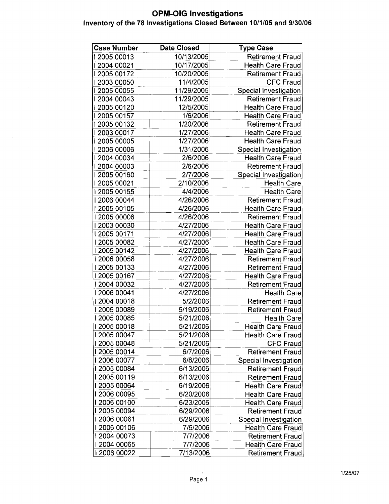## **OPM-OIG Investigations** Inventory of the 78 Investigations Closed Between 10/1/05 and 9/30/06

 $\mathcal{A}^{\mathcal{A}}$ 

 $\mathbb{R}^2$ 

| 10/13/2005<br><b>Retirement Fraud</b><br>1200500013<br>12004 00021<br>10/17/2005<br><b>Health Care Fraud</b><br>12005 00172<br>10/20/2005<br><b>Retirement Fraud</b><br>11/4/2005<br><b>CFC Fraud</b><br>  2003 00050<br>12005 00055<br>11/29/2005<br>Special Investigation<br>12004 00043<br><b>Retirement Fraud</b><br>11/29/2005<br>  2005 00120<br>12/5/2005<br>Health Care Fraud<br>12005 00157<br>1/6/2006<br><b>Health Care Fraud</b><br>12005 00132<br>1/20/2006<br><b>Retirement Fraud</b><br>1200300017<br>1/27/2006<br><b>Health Care Fraud</b><br>1/27/2006<br>1200500005<br><b>Health Care Fraud</b><br>1200600006<br>1/31/2006<br><b>Special Investigation</b><br>I 2004 00034<br>2/6/2006<br><b>Health Care Fraud</b><br>12004 00003<br>2/6/2006<br><b>Retirement Fraud</b><br>12005 00160<br>2/7/2006<br>Special Investigation<br>12005 00021<br><b>Health Care</b><br>2/10/2006<br>12005 00155<br>4/4/2006<br><b>Health Care</b><br>I 2006 00044<br>4/26/2006<br><b>Retirement Fraud</b><br>1200500105<br>4/26/2006<br><b>Health Care Fraud</b><br>  2005 00006<br>4/26/2006<br><b>Retirement Fraud</b><br>1200300030<br>4/27/2006<br><b>Health Care Fraud</b><br>12005 00171<br>4/27/2006<br><b>Health Care Fraud</b><br>12005 00082<br>4/27/2006<br><b>Health Care Fraud</b><br>  2005 00142<br>4/27/2006<br><b>Health Care Fraud</b><br>12006 00058<br>4/27/2006<br><b>Retirement Fraud</b><br>  2005 00133<br>4/27/2006<br><b>Retirement Fraud</b><br>I 2005 00167<br>4/27/2006<br><b>Health Care Fraud</b><br>12004 00032<br>4/27/2006<br><b>Retirement Fraud</b><br>  2006 00041<br>4/27/2006<br><b>Health Care</b><br>  2004 00018<br>5/2/2006<br><b>Retirement Fraud</b><br>1200500089<br>5/19/2006<br><b>Retirement Fraud</b><br>1200500085<br>5/21/2006<br>Health Care<br>  2005 00018<br>5/21/2006<br>Health Care Fraud<br>12005 00047<br>5/21/2006<br><b>Health Care Fraud</b><br>1200500048<br>5/21/2006<br><b>CFC Fraud</b><br>I 2005 00014<br>6/7/2006<br><b>Retirement Fraud</b><br>12006 00077<br>6/8/2006<br><b>Special Investigation</b><br>1200500084<br>6/13/2006<br><b>Retirement Fraud</b><br>  2005 00119<br>6/13/2006<br><b>Retirement Fraud</b><br>1200500064<br>6/19/2006<br><b>Health Care Fraud</b><br>12006 00095<br>6/20/2006<br><b>Health Care Fraud</b><br>12006 00100<br>6/23/2006<br><b>Health Care Fraud</b><br>12005 00094<br>6/29/2006<br><b>Retirement Fraud</b><br>I 2006 00061<br>6/29/2006<br>Special Investigation<br>12006 00106<br>7/5/2006<br><b>Health Care Fraud</b><br>12004 00073<br>7/7/2006<br><b>Retirement Fraud</b><br>  2004 00065<br>7/7/2006<br><b>Health Care Fraud</b><br>12006 00022<br>7/13/2006<br>Retirement Fraud | <b>Case Number</b> | <b>Date Closed</b> | <b>Type Case</b> |
|-----------------------------------------------------------------------------------------------------------------------------------------------------------------------------------------------------------------------------------------------------------------------------------------------------------------------------------------------------------------------------------------------------------------------------------------------------------------------------------------------------------------------------------------------------------------------------------------------------------------------------------------------------------------------------------------------------------------------------------------------------------------------------------------------------------------------------------------------------------------------------------------------------------------------------------------------------------------------------------------------------------------------------------------------------------------------------------------------------------------------------------------------------------------------------------------------------------------------------------------------------------------------------------------------------------------------------------------------------------------------------------------------------------------------------------------------------------------------------------------------------------------------------------------------------------------------------------------------------------------------------------------------------------------------------------------------------------------------------------------------------------------------------------------------------------------------------------------------------------------------------------------------------------------------------------------------------------------------------------------------------------------------------------------------------------------------------------------------------------------------------------------------------------------------------------------------------------------------------------------------------------------------------------------------------------------------------------------------------------------------------------------------------------------------------------------------------------------------------------------------------------------------------------------------------------------------------------------------------------------------------------------------------------------------------------------------------|--------------------|--------------------|------------------|
|                                                                                                                                                                                                                                                                                                                                                                                                                                                                                                                                                                                                                                                                                                                                                                                                                                                                                                                                                                                                                                                                                                                                                                                                                                                                                                                                                                                                                                                                                                                                                                                                                                                                                                                                                                                                                                                                                                                                                                                                                                                                                                                                                                                                                                                                                                                                                                                                                                                                                                                                                                                                                                                                                                     |                    |                    |                  |
|                                                                                                                                                                                                                                                                                                                                                                                                                                                                                                                                                                                                                                                                                                                                                                                                                                                                                                                                                                                                                                                                                                                                                                                                                                                                                                                                                                                                                                                                                                                                                                                                                                                                                                                                                                                                                                                                                                                                                                                                                                                                                                                                                                                                                                                                                                                                                                                                                                                                                                                                                                                                                                                                                                     |                    |                    |                  |
|                                                                                                                                                                                                                                                                                                                                                                                                                                                                                                                                                                                                                                                                                                                                                                                                                                                                                                                                                                                                                                                                                                                                                                                                                                                                                                                                                                                                                                                                                                                                                                                                                                                                                                                                                                                                                                                                                                                                                                                                                                                                                                                                                                                                                                                                                                                                                                                                                                                                                                                                                                                                                                                                                                     |                    |                    |                  |
|                                                                                                                                                                                                                                                                                                                                                                                                                                                                                                                                                                                                                                                                                                                                                                                                                                                                                                                                                                                                                                                                                                                                                                                                                                                                                                                                                                                                                                                                                                                                                                                                                                                                                                                                                                                                                                                                                                                                                                                                                                                                                                                                                                                                                                                                                                                                                                                                                                                                                                                                                                                                                                                                                                     |                    |                    |                  |
|                                                                                                                                                                                                                                                                                                                                                                                                                                                                                                                                                                                                                                                                                                                                                                                                                                                                                                                                                                                                                                                                                                                                                                                                                                                                                                                                                                                                                                                                                                                                                                                                                                                                                                                                                                                                                                                                                                                                                                                                                                                                                                                                                                                                                                                                                                                                                                                                                                                                                                                                                                                                                                                                                                     |                    |                    |                  |
|                                                                                                                                                                                                                                                                                                                                                                                                                                                                                                                                                                                                                                                                                                                                                                                                                                                                                                                                                                                                                                                                                                                                                                                                                                                                                                                                                                                                                                                                                                                                                                                                                                                                                                                                                                                                                                                                                                                                                                                                                                                                                                                                                                                                                                                                                                                                                                                                                                                                                                                                                                                                                                                                                                     |                    |                    |                  |
|                                                                                                                                                                                                                                                                                                                                                                                                                                                                                                                                                                                                                                                                                                                                                                                                                                                                                                                                                                                                                                                                                                                                                                                                                                                                                                                                                                                                                                                                                                                                                                                                                                                                                                                                                                                                                                                                                                                                                                                                                                                                                                                                                                                                                                                                                                                                                                                                                                                                                                                                                                                                                                                                                                     |                    |                    |                  |
|                                                                                                                                                                                                                                                                                                                                                                                                                                                                                                                                                                                                                                                                                                                                                                                                                                                                                                                                                                                                                                                                                                                                                                                                                                                                                                                                                                                                                                                                                                                                                                                                                                                                                                                                                                                                                                                                                                                                                                                                                                                                                                                                                                                                                                                                                                                                                                                                                                                                                                                                                                                                                                                                                                     |                    |                    |                  |
|                                                                                                                                                                                                                                                                                                                                                                                                                                                                                                                                                                                                                                                                                                                                                                                                                                                                                                                                                                                                                                                                                                                                                                                                                                                                                                                                                                                                                                                                                                                                                                                                                                                                                                                                                                                                                                                                                                                                                                                                                                                                                                                                                                                                                                                                                                                                                                                                                                                                                                                                                                                                                                                                                                     |                    |                    |                  |
|                                                                                                                                                                                                                                                                                                                                                                                                                                                                                                                                                                                                                                                                                                                                                                                                                                                                                                                                                                                                                                                                                                                                                                                                                                                                                                                                                                                                                                                                                                                                                                                                                                                                                                                                                                                                                                                                                                                                                                                                                                                                                                                                                                                                                                                                                                                                                                                                                                                                                                                                                                                                                                                                                                     |                    |                    |                  |
|                                                                                                                                                                                                                                                                                                                                                                                                                                                                                                                                                                                                                                                                                                                                                                                                                                                                                                                                                                                                                                                                                                                                                                                                                                                                                                                                                                                                                                                                                                                                                                                                                                                                                                                                                                                                                                                                                                                                                                                                                                                                                                                                                                                                                                                                                                                                                                                                                                                                                                                                                                                                                                                                                                     |                    |                    |                  |
|                                                                                                                                                                                                                                                                                                                                                                                                                                                                                                                                                                                                                                                                                                                                                                                                                                                                                                                                                                                                                                                                                                                                                                                                                                                                                                                                                                                                                                                                                                                                                                                                                                                                                                                                                                                                                                                                                                                                                                                                                                                                                                                                                                                                                                                                                                                                                                                                                                                                                                                                                                                                                                                                                                     |                    |                    |                  |
|                                                                                                                                                                                                                                                                                                                                                                                                                                                                                                                                                                                                                                                                                                                                                                                                                                                                                                                                                                                                                                                                                                                                                                                                                                                                                                                                                                                                                                                                                                                                                                                                                                                                                                                                                                                                                                                                                                                                                                                                                                                                                                                                                                                                                                                                                                                                                                                                                                                                                                                                                                                                                                                                                                     |                    |                    |                  |
|                                                                                                                                                                                                                                                                                                                                                                                                                                                                                                                                                                                                                                                                                                                                                                                                                                                                                                                                                                                                                                                                                                                                                                                                                                                                                                                                                                                                                                                                                                                                                                                                                                                                                                                                                                                                                                                                                                                                                                                                                                                                                                                                                                                                                                                                                                                                                                                                                                                                                                                                                                                                                                                                                                     |                    |                    |                  |
|                                                                                                                                                                                                                                                                                                                                                                                                                                                                                                                                                                                                                                                                                                                                                                                                                                                                                                                                                                                                                                                                                                                                                                                                                                                                                                                                                                                                                                                                                                                                                                                                                                                                                                                                                                                                                                                                                                                                                                                                                                                                                                                                                                                                                                                                                                                                                                                                                                                                                                                                                                                                                                                                                                     |                    |                    |                  |
|                                                                                                                                                                                                                                                                                                                                                                                                                                                                                                                                                                                                                                                                                                                                                                                                                                                                                                                                                                                                                                                                                                                                                                                                                                                                                                                                                                                                                                                                                                                                                                                                                                                                                                                                                                                                                                                                                                                                                                                                                                                                                                                                                                                                                                                                                                                                                                                                                                                                                                                                                                                                                                                                                                     |                    |                    |                  |
|                                                                                                                                                                                                                                                                                                                                                                                                                                                                                                                                                                                                                                                                                                                                                                                                                                                                                                                                                                                                                                                                                                                                                                                                                                                                                                                                                                                                                                                                                                                                                                                                                                                                                                                                                                                                                                                                                                                                                                                                                                                                                                                                                                                                                                                                                                                                                                                                                                                                                                                                                                                                                                                                                                     |                    |                    |                  |
|                                                                                                                                                                                                                                                                                                                                                                                                                                                                                                                                                                                                                                                                                                                                                                                                                                                                                                                                                                                                                                                                                                                                                                                                                                                                                                                                                                                                                                                                                                                                                                                                                                                                                                                                                                                                                                                                                                                                                                                                                                                                                                                                                                                                                                                                                                                                                                                                                                                                                                                                                                                                                                                                                                     |                    |                    |                  |
|                                                                                                                                                                                                                                                                                                                                                                                                                                                                                                                                                                                                                                                                                                                                                                                                                                                                                                                                                                                                                                                                                                                                                                                                                                                                                                                                                                                                                                                                                                                                                                                                                                                                                                                                                                                                                                                                                                                                                                                                                                                                                                                                                                                                                                                                                                                                                                                                                                                                                                                                                                                                                                                                                                     |                    |                    |                  |
|                                                                                                                                                                                                                                                                                                                                                                                                                                                                                                                                                                                                                                                                                                                                                                                                                                                                                                                                                                                                                                                                                                                                                                                                                                                                                                                                                                                                                                                                                                                                                                                                                                                                                                                                                                                                                                                                                                                                                                                                                                                                                                                                                                                                                                                                                                                                                                                                                                                                                                                                                                                                                                                                                                     |                    |                    |                  |
|                                                                                                                                                                                                                                                                                                                                                                                                                                                                                                                                                                                                                                                                                                                                                                                                                                                                                                                                                                                                                                                                                                                                                                                                                                                                                                                                                                                                                                                                                                                                                                                                                                                                                                                                                                                                                                                                                                                                                                                                                                                                                                                                                                                                                                                                                                                                                                                                                                                                                                                                                                                                                                                                                                     |                    |                    |                  |
|                                                                                                                                                                                                                                                                                                                                                                                                                                                                                                                                                                                                                                                                                                                                                                                                                                                                                                                                                                                                                                                                                                                                                                                                                                                                                                                                                                                                                                                                                                                                                                                                                                                                                                                                                                                                                                                                                                                                                                                                                                                                                                                                                                                                                                                                                                                                                                                                                                                                                                                                                                                                                                                                                                     |                    |                    |                  |
|                                                                                                                                                                                                                                                                                                                                                                                                                                                                                                                                                                                                                                                                                                                                                                                                                                                                                                                                                                                                                                                                                                                                                                                                                                                                                                                                                                                                                                                                                                                                                                                                                                                                                                                                                                                                                                                                                                                                                                                                                                                                                                                                                                                                                                                                                                                                                                                                                                                                                                                                                                                                                                                                                                     |                    |                    |                  |
|                                                                                                                                                                                                                                                                                                                                                                                                                                                                                                                                                                                                                                                                                                                                                                                                                                                                                                                                                                                                                                                                                                                                                                                                                                                                                                                                                                                                                                                                                                                                                                                                                                                                                                                                                                                                                                                                                                                                                                                                                                                                                                                                                                                                                                                                                                                                                                                                                                                                                                                                                                                                                                                                                                     |                    |                    |                  |
|                                                                                                                                                                                                                                                                                                                                                                                                                                                                                                                                                                                                                                                                                                                                                                                                                                                                                                                                                                                                                                                                                                                                                                                                                                                                                                                                                                                                                                                                                                                                                                                                                                                                                                                                                                                                                                                                                                                                                                                                                                                                                                                                                                                                                                                                                                                                                                                                                                                                                                                                                                                                                                                                                                     |                    |                    |                  |
|                                                                                                                                                                                                                                                                                                                                                                                                                                                                                                                                                                                                                                                                                                                                                                                                                                                                                                                                                                                                                                                                                                                                                                                                                                                                                                                                                                                                                                                                                                                                                                                                                                                                                                                                                                                                                                                                                                                                                                                                                                                                                                                                                                                                                                                                                                                                                                                                                                                                                                                                                                                                                                                                                                     |                    |                    |                  |
|                                                                                                                                                                                                                                                                                                                                                                                                                                                                                                                                                                                                                                                                                                                                                                                                                                                                                                                                                                                                                                                                                                                                                                                                                                                                                                                                                                                                                                                                                                                                                                                                                                                                                                                                                                                                                                                                                                                                                                                                                                                                                                                                                                                                                                                                                                                                                                                                                                                                                                                                                                                                                                                                                                     |                    |                    |                  |
|                                                                                                                                                                                                                                                                                                                                                                                                                                                                                                                                                                                                                                                                                                                                                                                                                                                                                                                                                                                                                                                                                                                                                                                                                                                                                                                                                                                                                                                                                                                                                                                                                                                                                                                                                                                                                                                                                                                                                                                                                                                                                                                                                                                                                                                                                                                                                                                                                                                                                                                                                                                                                                                                                                     |                    |                    |                  |
|                                                                                                                                                                                                                                                                                                                                                                                                                                                                                                                                                                                                                                                                                                                                                                                                                                                                                                                                                                                                                                                                                                                                                                                                                                                                                                                                                                                                                                                                                                                                                                                                                                                                                                                                                                                                                                                                                                                                                                                                                                                                                                                                                                                                                                                                                                                                                                                                                                                                                                                                                                                                                                                                                                     |                    |                    |                  |
|                                                                                                                                                                                                                                                                                                                                                                                                                                                                                                                                                                                                                                                                                                                                                                                                                                                                                                                                                                                                                                                                                                                                                                                                                                                                                                                                                                                                                                                                                                                                                                                                                                                                                                                                                                                                                                                                                                                                                                                                                                                                                                                                                                                                                                                                                                                                                                                                                                                                                                                                                                                                                                                                                                     |                    |                    |                  |
|                                                                                                                                                                                                                                                                                                                                                                                                                                                                                                                                                                                                                                                                                                                                                                                                                                                                                                                                                                                                                                                                                                                                                                                                                                                                                                                                                                                                                                                                                                                                                                                                                                                                                                                                                                                                                                                                                                                                                                                                                                                                                                                                                                                                                                                                                                                                                                                                                                                                                                                                                                                                                                                                                                     |                    |                    |                  |
|                                                                                                                                                                                                                                                                                                                                                                                                                                                                                                                                                                                                                                                                                                                                                                                                                                                                                                                                                                                                                                                                                                                                                                                                                                                                                                                                                                                                                                                                                                                                                                                                                                                                                                                                                                                                                                                                                                                                                                                                                                                                                                                                                                                                                                                                                                                                                                                                                                                                                                                                                                                                                                                                                                     |                    |                    |                  |
|                                                                                                                                                                                                                                                                                                                                                                                                                                                                                                                                                                                                                                                                                                                                                                                                                                                                                                                                                                                                                                                                                                                                                                                                                                                                                                                                                                                                                                                                                                                                                                                                                                                                                                                                                                                                                                                                                                                                                                                                                                                                                                                                                                                                                                                                                                                                                                                                                                                                                                                                                                                                                                                                                                     |                    |                    |                  |
|                                                                                                                                                                                                                                                                                                                                                                                                                                                                                                                                                                                                                                                                                                                                                                                                                                                                                                                                                                                                                                                                                                                                                                                                                                                                                                                                                                                                                                                                                                                                                                                                                                                                                                                                                                                                                                                                                                                                                                                                                                                                                                                                                                                                                                                                                                                                                                                                                                                                                                                                                                                                                                                                                                     |                    |                    |                  |
|                                                                                                                                                                                                                                                                                                                                                                                                                                                                                                                                                                                                                                                                                                                                                                                                                                                                                                                                                                                                                                                                                                                                                                                                                                                                                                                                                                                                                                                                                                                                                                                                                                                                                                                                                                                                                                                                                                                                                                                                                                                                                                                                                                                                                                                                                                                                                                                                                                                                                                                                                                                                                                                                                                     |                    |                    |                  |
|                                                                                                                                                                                                                                                                                                                                                                                                                                                                                                                                                                                                                                                                                                                                                                                                                                                                                                                                                                                                                                                                                                                                                                                                                                                                                                                                                                                                                                                                                                                                                                                                                                                                                                                                                                                                                                                                                                                                                                                                                                                                                                                                                                                                                                                                                                                                                                                                                                                                                                                                                                                                                                                                                                     |                    |                    |                  |
|                                                                                                                                                                                                                                                                                                                                                                                                                                                                                                                                                                                                                                                                                                                                                                                                                                                                                                                                                                                                                                                                                                                                                                                                                                                                                                                                                                                                                                                                                                                                                                                                                                                                                                                                                                                                                                                                                                                                                                                                                                                                                                                                                                                                                                                                                                                                                                                                                                                                                                                                                                                                                                                                                                     |                    |                    |                  |
|                                                                                                                                                                                                                                                                                                                                                                                                                                                                                                                                                                                                                                                                                                                                                                                                                                                                                                                                                                                                                                                                                                                                                                                                                                                                                                                                                                                                                                                                                                                                                                                                                                                                                                                                                                                                                                                                                                                                                                                                                                                                                                                                                                                                                                                                                                                                                                                                                                                                                                                                                                                                                                                                                                     |                    |                    |                  |
|                                                                                                                                                                                                                                                                                                                                                                                                                                                                                                                                                                                                                                                                                                                                                                                                                                                                                                                                                                                                                                                                                                                                                                                                                                                                                                                                                                                                                                                                                                                                                                                                                                                                                                                                                                                                                                                                                                                                                                                                                                                                                                                                                                                                                                                                                                                                                                                                                                                                                                                                                                                                                                                                                                     |                    |                    |                  |
|                                                                                                                                                                                                                                                                                                                                                                                                                                                                                                                                                                                                                                                                                                                                                                                                                                                                                                                                                                                                                                                                                                                                                                                                                                                                                                                                                                                                                                                                                                                                                                                                                                                                                                                                                                                                                                                                                                                                                                                                                                                                                                                                                                                                                                                                                                                                                                                                                                                                                                                                                                                                                                                                                                     |                    |                    |                  |
|                                                                                                                                                                                                                                                                                                                                                                                                                                                                                                                                                                                                                                                                                                                                                                                                                                                                                                                                                                                                                                                                                                                                                                                                                                                                                                                                                                                                                                                                                                                                                                                                                                                                                                                                                                                                                                                                                                                                                                                                                                                                                                                                                                                                                                                                                                                                                                                                                                                                                                                                                                                                                                                                                                     |                    |                    |                  |
|                                                                                                                                                                                                                                                                                                                                                                                                                                                                                                                                                                                                                                                                                                                                                                                                                                                                                                                                                                                                                                                                                                                                                                                                                                                                                                                                                                                                                                                                                                                                                                                                                                                                                                                                                                                                                                                                                                                                                                                                                                                                                                                                                                                                                                                                                                                                                                                                                                                                                                                                                                                                                                                                                                     |                    |                    |                  |
|                                                                                                                                                                                                                                                                                                                                                                                                                                                                                                                                                                                                                                                                                                                                                                                                                                                                                                                                                                                                                                                                                                                                                                                                                                                                                                                                                                                                                                                                                                                                                                                                                                                                                                                                                                                                                                                                                                                                                                                                                                                                                                                                                                                                                                                                                                                                                                                                                                                                                                                                                                                                                                                                                                     |                    |                    |                  |
|                                                                                                                                                                                                                                                                                                                                                                                                                                                                                                                                                                                                                                                                                                                                                                                                                                                                                                                                                                                                                                                                                                                                                                                                                                                                                                                                                                                                                                                                                                                                                                                                                                                                                                                                                                                                                                                                                                                                                                                                                                                                                                                                                                                                                                                                                                                                                                                                                                                                                                                                                                                                                                                                                                     |                    |                    |                  |
|                                                                                                                                                                                                                                                                                                                                                                                                                                                                                                                                                                                                                                                                                                                                                                                                                                                                                                                                                                                                                                                                                                                                                                                                                                                                                                                                                                                                                                                                                                                                                                                                                                                                                                                                                                                                                                                                                                                                                                                                                                                                                                                                                                                                                                                                                                                                                                                                                                                                                                                                                                                                                                                                                                     |                    |                    |                  |
|                                                                                                                                                                                                                                                                                                                                                                                                                                                                                                                                                                                                                                                                                                                                                                                                                                                                                                                                                                                                                                                                                                                                                                                                                                                                                                                                                                                                                                                                                                                                                                                                                                                                                                                                                                                                                                                                                                                                                                                                                                                                                                                                                                                                                                                                                                                                                                                                                                                                                                                                                                                                                                                                                                     |                    |                    |                  |
|                                                                                                                                                                                                                                                                                                                                                                                                                                                                                                                                                                                                                                                                                                                                                                                                                                                                                                                                                                                                                                                                                                                                                                                                                                                                                                                                                                                                                                                                                                                                                                                                                                                                                                                                                                                                                                                                                                                                                                                                                                                                                                                                                                                                                                                                                                                                                                                                                                                                                                                                                                                                                                                                                                     |                    |                    |                  |
|                                                                                                                                                                                                                                                                                                                                                                                                                                                                                                                                                                                                                                                                                                                                                                                                                                                                                                                                                                                                                                                                                                                                                                                                                                                                                                                                                                                                                                                                                                                                                                                                                                                                                                                                                                                                                                                                                                                                                                                                                                                                                                                                                                                                                                                                                                                                                                                                                                                                                                                                                                                                                                                                                                     |                    |                    |                  |